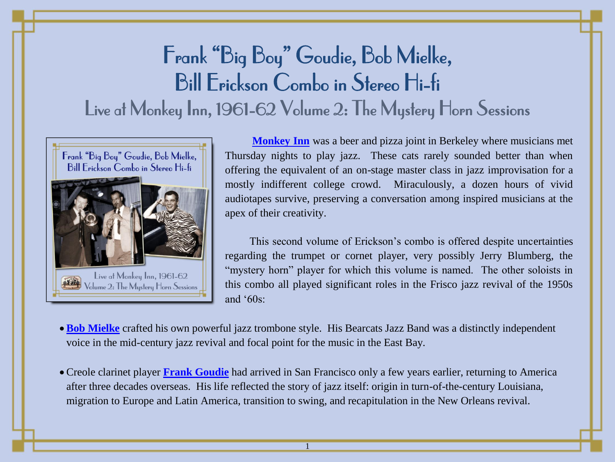# Frank "Big Boy" Goudie, Bob Mielke, Bill Erickson Combo in Stereo Hi-fi Live at Monkey Inn, 1961-62 Volume 2: The Mystery Horn Sessions



**[Monkey Inn](http://jazzhotbigstep.com/285112.html)** was a beer and pizza joint in Berkeley where musicians met Thursday nights to play jazz. These cats rarely sounded better than when offering the equivalent of an on-stage master class in jazz improvisation for a mostly indifferent college crowd. Miraculously, a dozen hours of vivid audiotapes survive, preserving a conversation among inspired musicians at the apex of their creativity.

This second volume of Erickson"s combo is offered despite uncertainties regarding the trumpet or cornet player, very possibly Jerry Blumberg, the "mystery horn" player for which this volume is named. The other soloists in this combo all played significant roles in the Frisco jazz revival of the 1950s and  $60s$ :

- **[Bob Mielke](http://jazzhotbigstep.com/247312.html)** crafted his own powerful jazz trombone style. His Bearcats Jazz Band was a distinctly independent voice in the mid-century jazz revival and focal point for the music in the East Bay.
- Creole clarinet player **[Frank Goudie](http://jazzhotbigstep.com/120601.html)** had arrived in San Francisco only a few years earlier, returning to America after three decades overseas. His life reflected the story of jazz itself: origin in turn-of-the-century Louisiana, migration to Europe and Latin America, transition to swing, and recapitulation in the New Orleans revival.

1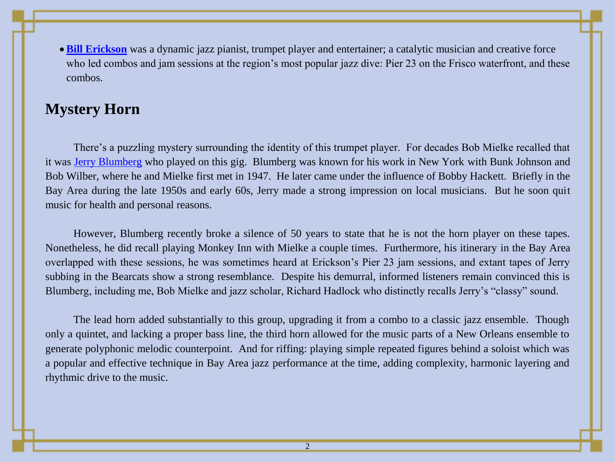**[Bill Erickson](http://jazzhotbigstep.com/249912.html)** was a dynamic jazz pianist, trumpet player and entertainer; a catalytic musician and creative force who led combos and jam sessions at the region's most popular jazz dive: Pier 23 on the Frisco waterfront, and these combos.

#### **Mystery Horn**

There's a puzzling mystery surrounding the identity of this trumpet player. For decades Bob Mielke recalled that it was [Jerry Blumberg](http://jazzhotbigstep.com/281912.html) who played on this gig. Blumberg was known for his work in New York with Bunk Johnson and Bob Wilber, where he and Mielke first met in 1947. He later came under the influence of Bobby Hackett. Briefly in the Bay Area during the late 1950s and early 60s, Jerry made a strong impression on local musicians. But he soon quit music for health and personal reasons.

However, Blumberg recently broke a silence of 50 years to state that he is not the horn player on these tapes. Nonetheless, he did recall playing Monkey Inn with Mielke a couple times. Furthermore, his itinerary in the Bay Area overlapped with these sessions, he was sometimes heard at Erickson"s Pier 23 jam sessions, and extant tapes of Jerry subbing in the Bearcats show a strong resemblance. Despite his demurral, informed listeners remain convinced this is Blumberg, including me, Bob Mielke and jazz scholar, Richard Hadlock who distinctly recalls Jerry"s "classy" sound.

The lead horn added substantially to this group, upgrading it from a combo to a classic jazz ensemble. Though only a quintet, and lacking a proper bass line, the third horn allowed for the music parts of a New Orleans ensemble to generate polyphonic melodic counterpoint. And for riffing: playing simple repeated figures behind a soloist which was a popular and effective technique in Bay Area jazz performance at the time, adding complexity, harmonic layering and rhythmic drive to the music.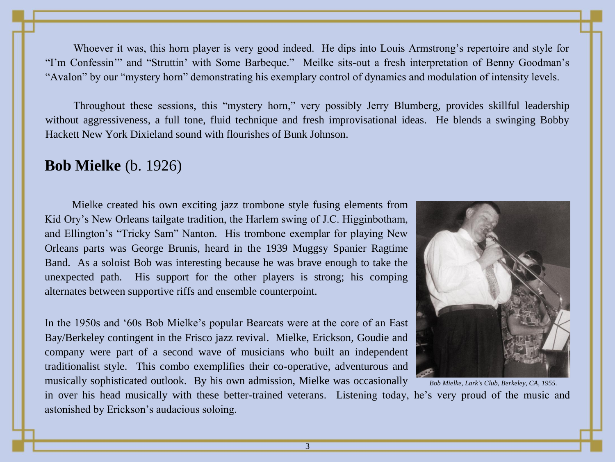Whoever it was, this horn player is very good indeed. He dips into Louis Armstrong's repertoire and style for "I'm Confessin"" and "Struttin' with Some Barbeque." Meilke sits-out a fresh interpretation of Benny Goodman's "Avalon" by our "mystery horn" demonstrating his exemplary control of dynamics and modulation of intensity levels.

Throughout these sessions, this "mystery horn," very possibly Jerry Blumberg, provides skillful leadership without aggressiveness, a full tone, fluid technique and fresh improvisational ideas. He blends a swinging Bobby Hackett New York Dixieland sound with flourishes of Bunk Johnson.

#### **Bob Mielke** (b. 1926)

Mielke created his own exciting jazz trombone style fusing elements from Kid Ory"s New Orleans tailgate tradition, the Harlem swing of J.C. Higginbotham, and Ellington"s "Tricky Sam" Nanton. His trombone exemplar for playing New Orleans parts was George Brunis, heard in the 1939 Muggsy Spanier Ragtime Band. As a soloist Bob was interesting because he was brave enough to take the unexpected path. His support for the other players is strong; his comping alternates between supportive riffs and ensemble counterpoint.

In the 1950s and "60s Bob Mielke"s popular Bearcats were at the core of an East Bay/Berkeley contingent in the Frisco jazz revival. Mielke, Erickson, Goudie and company were part of a second wave of musicians who built an independent traditionalist style. This combo exemplifies their co-operative, adventurous and musically sophisticated outlook. By his own admission, Mielke was occasionally



*Bob Mielke, Lark's Club, Berkeley, CA, 1955.*

in over his head musically with these better-trained veterans. Listening today, he"s very proud of the music and astonished by Erickson"s audacious soloing.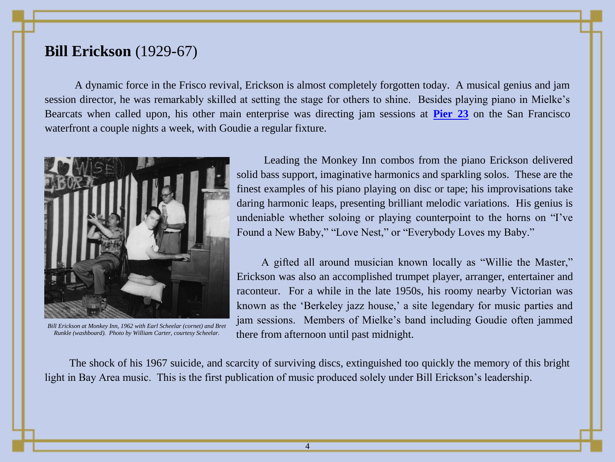## **Bill Erickson** (1929-67)

 A dynamic force in the Frisco revival, Erickson is almost completely forgotten today. A musical genius and jam session director, he was remarkably skilled at setting the stage for others to shine. Besides playing piano in Mielke"s Bearcats when called upon, his other main enterprise was directing jam sessions at **[Pier 23](http://jazzhotbigstep.com/295633.html)** on the San Francisco waterfront a couple nights a week, with Goudie a regular fixture.



*Bill Erickson at Monkey Inn, 1962 with Earl Scheelar (cornet) and Bret Runkle (washboard). Photo by William Carter, courtesy Scheelar.*

Leading the Monkey Inn combos from the piano Erickson delivered solid bass support, imaginative harmonics and sparkling solos. These are the finest examples of his piano playing on disc or tape; his improvisations take daring harmonic leaps, presenting brilliant melodic variations. His genius is undeniable whether soloing or playing counterpoint to the horns on "I"ve Found a New Baby," "Love Nest," or "Everybody Loves my Baby."

A gifted all around musician known locally as "Willie the Master," Erickson was also an accomplished trumpet player, arranger, entertainer and raconteur. For a while in the late 1950s, his roomy nearby Victorian was known as the 'Berkeley jazz house,' a site legendary for music parties and jam sessions. Members of Mielke"s band including Goudie often jammed there from afternoon until past midnight.

The shock of his 1967 suicide, and scarcity of surviving discs, extinguished too quickly the memory of this bright light in Bay Area music. This is the first publication of music produced solely under Bill Erickson's leadership.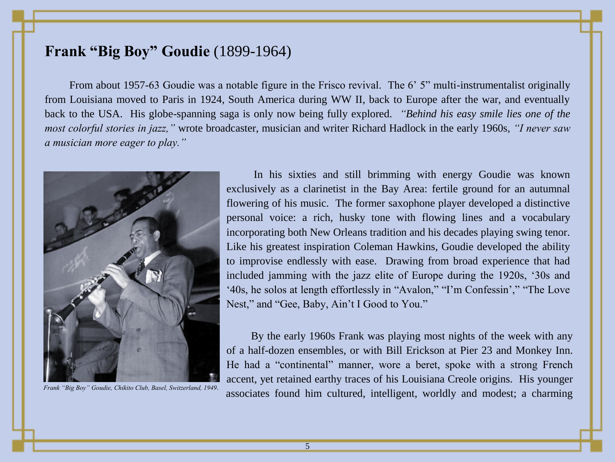# **Frank "Big Boy" Goudie** (1899-1964)

From about 1957-63 Goudie was a notable figure in the Frisco revival. The 6' 5" multi-instrumentalist originally from Louisiana moved to Paris in 1924, South America during WW II, back to Europe after the war, and eventually back to the USA. His globe-spanning saga is only now being fully explored. *"Behind his easy smile lies one of the most colorful stories in jazz,"* wrote broadcaster, musician and writer Richard Hadlock in the early 1960s, *"I never saw a musician more eager to play."*



In his sixties and still brimming with energy Goudie was known exclusively as a clarinetist in the Bay Area: fertile ground for an autumnal flowering of his music. The former saxophone player developed a distinctive personal voice: a rich, husky tone with flowing lines and a vocabulary incorporating both New Orleans tradition and his decades playing swing tenor. Like his greatest inspiration Coleman Hawkins, Goudie developed the ability to improvise endlessly with ease. Drawing from broad experience that had included jamming with the jazz elite of Europe during the 1920s, "30s and "40s, he solos at length effortlessly in "Avalon," "I"m Confessin"," "The Love Nest," and "Gee, Baby, Ain't I Good to You."

By the early 1960s Frank was playing most nights of the week with any of a half-dozen ensembles, or with Bill Erickson at Pier 23 and Monkey Inn. He had a "continental" manner, wore a beret, spoke with a strong French accent, yet retained earthy traces of his Louisiana Creole origins. His younger Frank "Big Boy" Goudie, Chikito Club, Basel, Switzerland, 1949.<br>**associates found him cultured, intelligent, worldly and modest; a charming**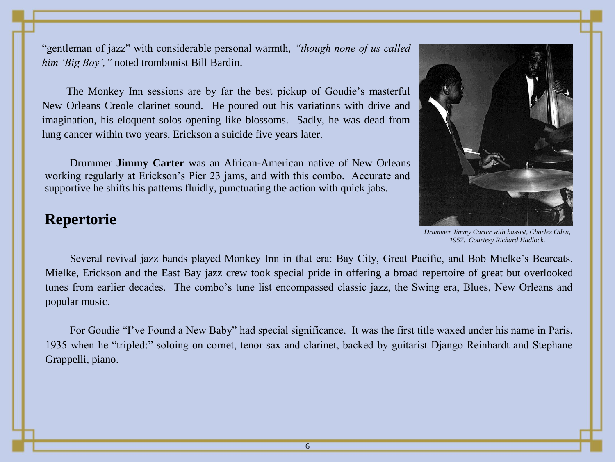"gentleman of jazz" with considerable personal warmth, *"though none of us called him "Big Boy","* noted trombonist Bill Bardin.

The Monkey Inn sessions are by far the best pickup of Goudie"s masterful New Orleans Creole clarinet sound. He poured out his variations with drive and imagination, his eloquent solos opening like blossoms. Sadly, he was dead from lung cancer within two years, Erickson a suicide five years later.

Drummer **Jimmy Carter** was an African-American native of New Orleans working regularly at Erickson's Pier 23 jams, and with this combo. Accurate and supportive he shifts his patterns fluidly, punctuating the action with quick jabs.

## **Repertorie**



*Drummer Jimmy Carter with bassist, Charles Oden, 1957. Courtesy Richard Hadlock.*

Several revival jazz bands played Monkey Inn in that era: Bay City, Great Pacific, and Bob Mielke"s Bearcats. Mielke, Erickson and the East Bay jazz crew took special pride in offering a broad repertoire of great but overlooked tunes from earlier decades. The combo"s tune list encompassed classic jazz, the Swing era, Blues, New Orleans and popular music.

For Goudie "I"ve Found a New Baby" had special significance. It was the first title waxed under his name in Paris, 1935 when he "tripled:" soloing on cornet, tenor sax and clarinet, backed by guitarist Django Reinhardt and Stephane Grappelli, piano.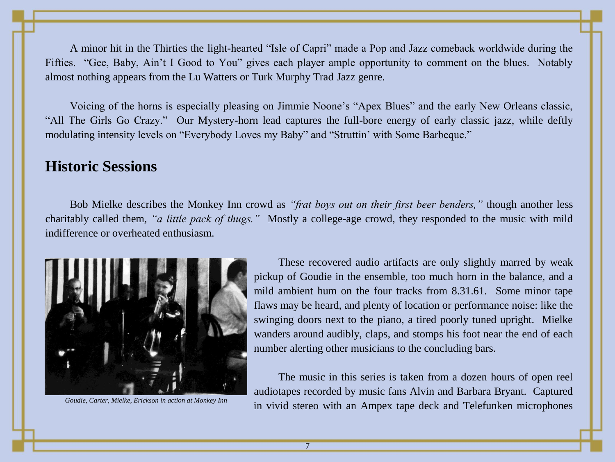A minor hit in the Thirties the light-hearted "Isle of Capri" made a Pop and Jazz comeback worldwide during the Fifties. "Gee, Baby, Ain"t I Good to You" gives each player ample opportunity to comment on the blues. Notably almost nothing appears from the Lu Watters or Turk Murphy Trad Jazz genre.

Voicing of the horns is especially pleasing on Jimmie Noone"s "Apex Blues" and the early New Orleans classic, "All The Girls Go Crazy." Our Mystery-horn lead captures the full-bore energy of early classic jazz, while deftly modulating intensity levels on "Everybody Loves my Baby" and "Struttin' with Some Barbeque."

#### **Historic Sessions**

Bob Mielke describes the Monkey Inn crowd as *"frat boys out on their first beer benders,"* though another less charitably called them, *"a little pack of thugs."* Mostly a college-age crowd, they responded to the music with mild indifference or overheated enthusiasm.



These recovered audio artifacts are only slightly marred by weak pickup of Goudie in the ensemble, too much horn in the balance, and a mild ambient hum on the four tracks from 8.31.61. Some minor tape flaws may be heard, and plenty of location or performance noise: like the swinging doors next to the piano, a tired poorly tuned upright. Mielke wanders around audibly, claps, and stomps his foot near the end of each number alerting other musicians to the concluding bars.

The music in this series is taken from a dozen hours of open reel audiotapes recorded by music fans Alvin and Barbara Bryant. Captured Goudie, Carter, Mielke, Erickson in action at Monkey Inn **in** vivid stereo with an Ampex tape deck and Telefunken microphones

7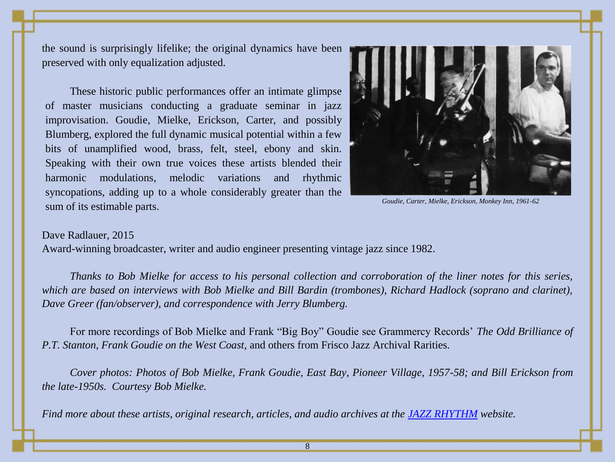the sound is surprisingly lifelike; the original dynamics have been preserved with only equalization adjusted.

These historic public performances offer an intimate glimpse of master musicians conducting a graduate seminar in jazz improvisation. Goudie, Mielke, Erickson, Carter, and possibly Blumberg, explored the full dynamic musical potential within a few bits of unamplified wood, brass, felt, steel, ebony and skin. Speaking with their own true voices these artists blended their harmonic modulations, melodic variations and rhythmic syncopations, adding up to a whole considerably greater than the sum of its estimable parts.



*Goudie, Carter, Mielke, Erickson, Monkey Inn, 1961-62*

#### Dave Radlauer, 2015

Award-winning broadcaster, writer and audio engineer presenting vintage jazz since 1982.

*Thanks to Bob Mielke for access to his personal collection and corroboration of the liner notes for this series, which are based on interviews with Bob Mielke and Bill Bardin (trombones), Richard Hadlock (soprano and clarinet), Dave Greer (fan/observer), and correspondence with Jerry Blumberg.*

For more recordings of Bob Mielke and Frank "Big Boy" Goudie see Grammercy Records" *The Odd Brilliance of P.T. Stanton, Frank Goudie on the West Coast,* and others from Frisco Jazz Archival Rarities*.*

*Cover photos: Photos of Bob Mielke, Frank Goudie, East Bay, Pioneer Village, 1957-58; and Bill Erickson from the late-1950s. Courtesy Bob Mielke.*

*Find more about these artists, original research, articles, and audio archives at the [JAZZ RHYTHM](http://jazzhotbigstep.com/104.html) website.*

8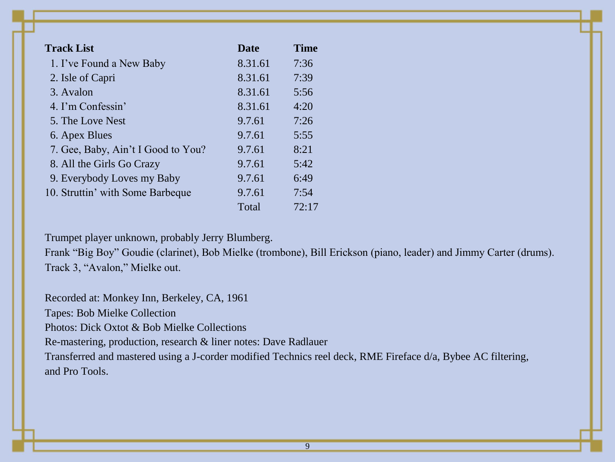| <b>Track List</b>                  | <b>Date</b> | <b>Time</b> |
|------------------------------------|-------------|-------------|
| 1. I've Found a New Baby           | 8.31.61     | 7:36        |
| 2. Isle of Capri                   | 8.31.61     | 7:39        |
| 3. Avalon                          | 8.31.61     | 5:56        |
| 4. I'm Confessin'                  | 8.31.61     | 4:20        |
| 5. The Love Nest                   | 9.7.61      | 7:26        |
| 6. Apex Blues                      | 9.7.61      | 5:55        |
| 7. Gee, Baby, Ain't I Good to You? | 9.7.61      | 8:21        |
| 8. All the Girls Go Crazy          | 9.7.61      | 5:42        |
| 9. Everybody Loves my Baby         | 9.7.61      | 6:49        |
| 10. Struttin' with Some Barbeque   | 9.7.61      | 7:54        |
|                                    | Total       | 72:17       |

Trumpet player unknown, probably Jerry Blumberg.

Frank "Big Boy" Goudie (clarinet), Bob Mielke (trombone), Bill Erickson (piano, leader) and Jimmy Carter (drums). Track 3, "Avalon," Mielke out.

Recorded at: Monkey Inn, Berkeley, CA, 1961 Tapes: Bob Mielke Collection Photos: Dick Oxtot & Bob Mielke Collections Re-mastering, production, research & liner notes: Dave Radlauer Transferred and mastered using a J-corder modified Technics reel deck, RME Fireface d/a, Bybee AC filtering, and Pro Tools.